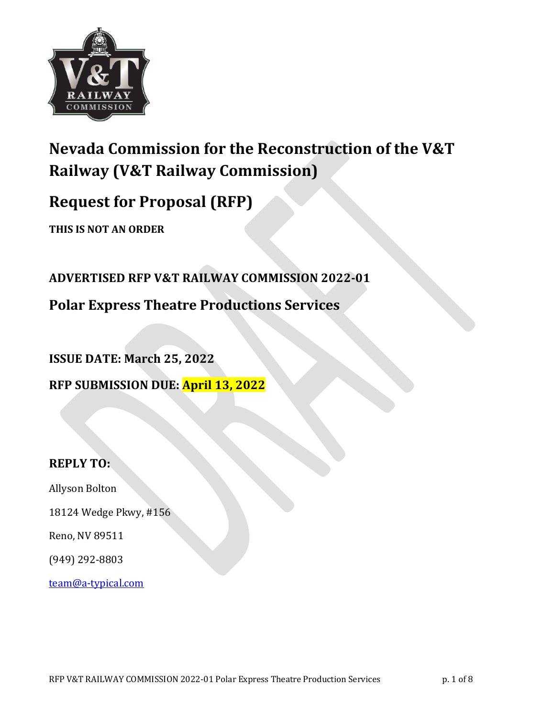

# **Nevada Commission for the Reconstruction of the V&T Railway (V&T Railway Commission)**

# **Request for Proposal (RFP)**

**THIS IS NOT AN ORDER** 

**ADVERTISED RFP V&T RAILWAY COMMISSION 2022-01**

**Polar Express Theatre Productions Services** 

**ISSUE DATE: March 25, 2022 RFP SUBMISSION DUE: April 13, 2022** 

## **REPLY TO:**

Allyson Bolton

18124 Wedge Pkwy, #156

Reno, NV 89511

(949) 292-8803

team@a-typical.com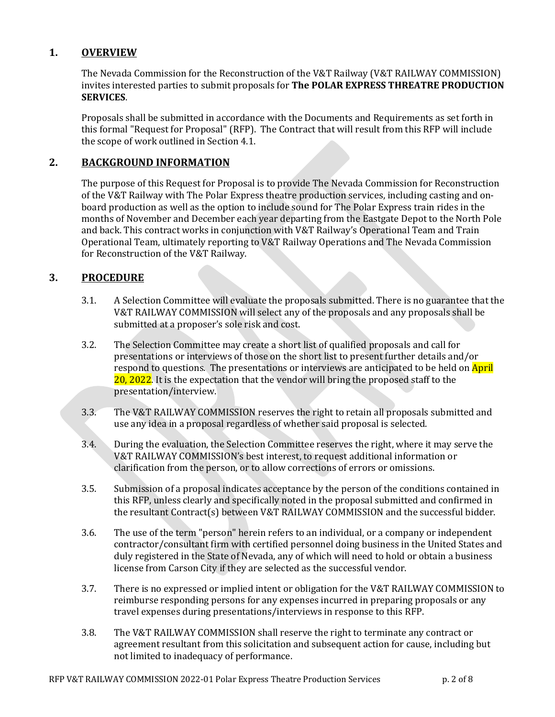## **1. OVERVIEW**

The Nevada Commission for the Reconstruction of the V&T Railway (V&T RAILWAY COMMISSION) invites interested parties to submit proposals for The POLAR EXPRESS THREATRE PRODUCTION **SERVICES**. 

Proposals shall be submitted in accordance with the Documents and Requirements as set forth in this formal "Request for Proposal" (RFP). The Contract that will result from this RFP will include the scope of work outlined in Section 4.1.

#### 2. **BACKGROUND INFORMATION**

The purpose of this Request for Proposal is to provide The Nevada Commission for Reconstruction of the V&T Railway with The Polar Express theatre production services, including casting and onboard production as well as the option to include sound for The Polar Express train rides in the months of November and December each year departing from the Eastgate Depot to the North Pole and back. This contract works in conjunction with V&T Railway's Operational Team and Train Operational Team, ultimately reporting to V&T Railway Operations and The Nevada Commission for Reconstruction of the V&T Railway.

#### **3. PROCEDURE**

- 3.1. A Selection Committee will evaluate the proposals submitted. There is no guarantee that the V&T RAILWAY COMMISSION will select any of the proposals and any proposals shall be submitted at a proposer's sole risk and cost.
- 3.2. The Selection Committee may create a short list of qualified proposals and call for presentations or interviews of those on the short list to present further details and/or respond to questions. The presentations or interviews are anticipated to be held on **April**  $20, 2022$ . It is the expectation that the vendor will bring the proposed staff to the presentation/interview.
- 3.3. The V&T RAILWAY COMMISSION reserves the right to retain all proposals submitted and use any idea in a proposal regardless of whether said proposal is selected.
- 3.4. During the evaluation, the Selection Committee reserves the right, where it may serve the V&T RAILWAY COMMISSION's best interest, to request additional information or clarification from the person, or to allow corrections of errors or omissions.
- 3.5. Submission of a proposal indicates acceptance by the person of the conditions contained in this RFP, unless clearly and specifically noted in the proposal submitted and confirmed in the resultant Contract(s) between V&T RAILWAY COMMISSION and the successful bidder.
- 3.6. The use of the term "person" herein refers to an individual, or a company or independent contractor/consultant firm with certified personnel doing business in the United States and duly registered in the State of Nevada, any of which will need to hold or obtain a business license from Carson City if they are selected as the successful vendor.
- 3.7. There is no expressed or implied intent or obligation for the V&T RAILWAY COMMISSION to reimburse responding persons for any expenses incurred in preparing proposals or any travel expenses during presentations/interviews in response to this RFP.
- 3.8. The V&T RAILWAY COMMISSION shall reserve the right to terminate any contract or agreement resultant from this solicitation and subsequent action for cause, including but not limited to inadequacy of performance.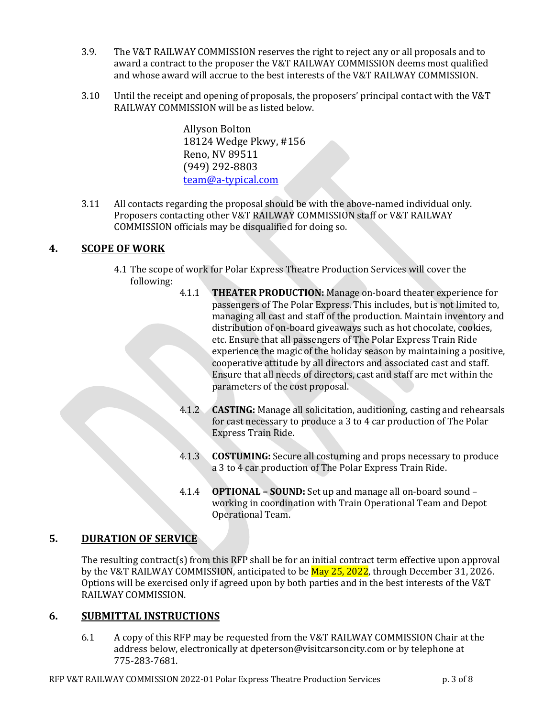- 3.9. The V&T RAILWAY COMMISSION reserves the right to reject any or all proposals and to award a contract to the proposer the V&T RAILWAY COMMISSION deems most qualified and whose award will accrue to the best interests of the V&T RAILWAY COMMISSION.
- $3.10$  Until the receipt and opening of proposals, the proposers' principal contact with the V&T RAILWAY COMMISSION will be as listed below.

Allyson Bolton 18124 Wedge Pkwy, #156 Reno, NV 89511 (949) 292-8803 team@a-typical.com

3.11 All contacts regarding the proposal should be with the above-named individual only. Proposers contacting other V&T RAILWAY COMMISSION staff or V&T RAILWAY COMMISSION officials may be disqualified for doing so.

## **4. SCOPE OF WORK**

- 4.1 The scope of work for Polar Express Theatre Production Services will cover the following:
	- 4.1.1 THEATER PRODUCTION: Manage on-board theater experience for passengers of The Polar Express. This includes, but is not limited to, managing all cast and staff of the production. Maintain inventory and distribution of on-board giveaways such as hot chocolate, cookies, etc. Ensure that all passengers of The Polar Express Train Ride experience the magic of the holiday season by maintaining a positive, cooperative attitude by all directors and associated cast and staff. Ensure that all needs of directors, cast and staff are met within the parameters of the cost proposal.
	- 4.1.2 **CASTING:** Manage all solicitation, auditioning, casting and rehearsals for cast necessary to produce a  $3$  to  $4$  car production of The Polar **Express Train Ride.**
	- 4.1.3 **COSTUMING:** Secure all costuming and props necessary to produce a 3 to 4 car production of The Polar Express Train Ride.
	- 4.1.4 **OPTIONAL SOUND:** Set up and manage all on-board sound working in coordination with Train Operational Team and Depot Operational Team.

## **5. DURATION OF SERVICE**

The resulting contract(s) from this RFP shall be for an initial contract term effective upon approval by the V&T RAILWAY COMMISSION, anticipated to be May 25, 2022, through December 31, 2026. Options will be exercised only if agreed upon by both parties and in the best interests of the V&T RAILWAY COMMISSION.

## **6. SUBMITTAL INSTRUCTIONS**

6.1 A copy of this RFP may be requested from the V&T RAILWAY COMMISSION Chair at the address below, electronically at dpeterson@visitcarsoncity.com or by telephone at 775-283-7681.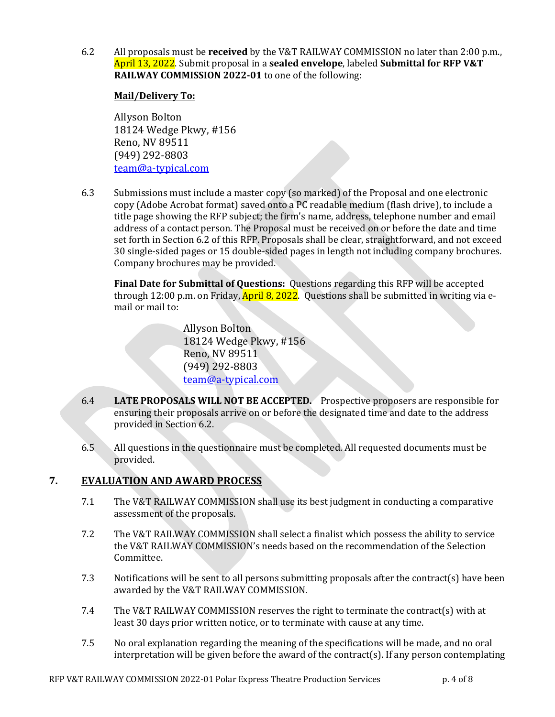6.2 All proposals must be **received** by the V&T RAILWAY COMMISSION no later than 2:00 p.m., April 13, 2022. Submit proposal in a **sealed envelope**, labeled **Submittal for RFP V&T RAILWAY COMMISSION 2022-01** to one of the following:

#### **Mail/Delivery To:**

Allyson Bolton 18124 Wedge Pkwy, #156 Reno, NV 89511 (949) 292-8803 team@a-typical.com

6.3 Submissions must include a master copy (so marked) of the Proposal and one electronic copy (Adobe Acrobat format) saved onto a PC readable medium (flash drive), to include a title page showing the RFP subject; the firm's name, address, telephone number and email address of a contact person. The Proposal must be received on or before the date and time set forth in Section 6.2 of this RFP. Proposals shall be clear, straightforward, and not exceed 30 single-sided pages or 15 double-sided pages in length not including company brochures. Company brochures may be provided.

**Final Date for Submittal of Questions:** Questions regarding this RFP will be accepted through 12:00 p.m. on Friday,  $April 8$ , 2022. Questions shall be submitted in writing via email or mail to:

> Allyson Bolton 18124 Wedge Pkwy, #156 Reno, NV 89511 (949) 292-8803 team@a-typical.com

- 6.4 LATE PROPOSALS WILL NOT BE ACCEPTED. Prospective proposers are responsible for ensuring their proposals arrive on or before the designated time and date to the address provided in Section 6.2.
- 6.5 All questions in the questionnaire must be completed. All requested documents must be provided.

## **7. EVALUATION AND AWARD PROCESS**

- 7.1 The V&T RAILWAY COMMISSION shall use its best judgment in conducting a comparative assessment of the proposals.
- 7.2 The V&T RAILWAY COMMISSION shall select a finalist which possess the ability to service the V&T RAILWAY COMMISSION's needs based on the recommendation of the Selection Committee.
- 7.3 Notifications will be sent to all persons submitting proposals after the contract(s) have been awarded by the V&T RAILWAY COMMISSION.
- 7.4 The V&T RAILWAY COMMISSION reserves the right to terminate the contract(s) with at least 30 days prior written notice, or to terminate with cause at any time.
- 7.5 No oral explanation regarding the meaning of the specifications will be made, and no oral interpretation will be given before the award of the contract(s). If any person contemplating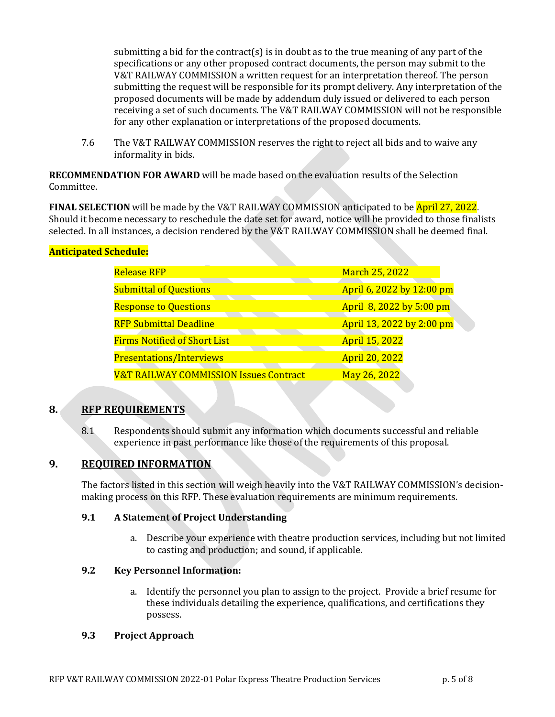submitting a bid for the contract(s) is in doubt as to the true meaning of any part of the specifications or any other proposed contract documents, the person may submit to the V&T RAILWAY COMMISSION a written request for an interpretation thereof. The person submitting the request will be responsible for its prompt delivery. Any interpretation of the proposed documents will be made by addendum duly issued or delivered to each person receiving a set of such documents. The V&T RAILWAY COMMISSION will not be responsible for any other explanation or interpretations of the proposed documents.

7.6 The V&T RAILWAY COMMISSION reserves the right to reject all bids and to waive any informality in bids.

**RECOMMENDATION FOR AWARD** will be made based on the evaluation results of the Selection Committee. 

**FINAL SELECTION** will be made by the V&T RAILWAY COMMISSION anticipated to be **April 27, 2022**. Should it become necessary to reschedule the date set for award, notice will be provided to those finalists selected. In all instances, a decision rendered by the V&T RAILWAY COMMISSION shall be deemed final.

### **Anticipated Schedule:**

| <b>Release RFP</b>                                | <b>March 25, 2022</b>     |
|---------------------------------------------------|---------------------------|
| <b>Submittal of Questions</b>                     | April 6, 2022 by 12:00 pm |
| <b>Response to Questions</b>                      | April 8, 2022 by 5:00 pm  |
| <b>RFP Submittal Deadline</b>                     | April 13, 2022 by 2:00 pm |
| <b>Firms Notified of Short List</b>               | <b>April 15, 2022</b>     |
| <b>Presentations/Interviews</b>                   | <b>April 20, 2022</b>     |
| <b>V&amp;T RAILWAY COMMISSION Issues Contract</b> | May 26, 2022              |

#### 8. RFP REQUIREMENTS

8.1 Respondents should submit any information which documents successful and reliable experience in past performance like those of the requirements of this proposal.

#### **9. REQUIRED INFORMATION**

The factors listed in this section will weigh heavily into the V&T RAILWAY COMMISSION's decisionmaking process on this RFP. These evaluation requirements are minimum requirements.

#### **9.1 A Statement of Project Understanding**

a. Describe your experience with theatre production services, including but not limited to casting and production; and sound, if applicable.

#### **9.2 Key Personnel Information:**

a. Identify the personnel you plan to assign to the project. Provide a brief resume for these individuals detailing the experience, qualifications, and certifications they possess. 

#### **9.3 Project Approach**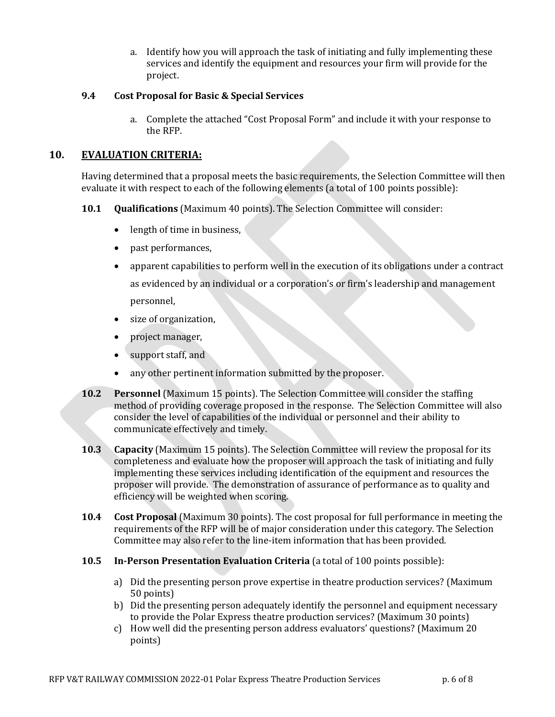a. Identify how you will approach the task of initiating and fully implementing these services and identify the equipment and resources your firm will provide for the project.

#### 9.4 Cost Proposal for Basic & Special Services

a. Complete the attached "Cost Proposal Form" and include it with your response to the RFP.

#### **10. EVALUATION CRITERIA:**

Having determined that a proposal meets the basic requirements, the Selection Committee will then evaluate it with respect to each of the following elements (a total of 100 points possible):

- **10.1 Qualifications** (Maximum 40 points). The Selection Committee will consider:
	- length of time in business,
	- past performances,
	- apparent capabilities to perform well in the execution of its obligations under a contract as evidenced by an individual or a corporation's or firm's leadership and management personnel,
	- size of organization,
	- project manager,
	- $\bullet$  support staff, and
	- any other pertinent information submitted by the proposer.
- **10.2 Personnel** (Maximum 15 points). The Selection Committee will consider the staffing method of providing coverage proposed in the response. The Selection Committee will also consider the level of capabilities of the individual or personnel and their ability to communicate effectively and timely.
- **10.3 Capacity** (Maximum 15 points). The Selection Committee will review the proposal for its completeness and evaluate how the proposer will approach the task of initiating and fully implementing these services including identification of the equipment and resources the proposer will provide. The demonstration of assurance of performance as to quality and efficiency will be weighted when scoring.
- **10.4 Cost Proposal** (Maximum 30 points). The cost proposal for full performance in meeting the requirements of the RFP will be of major consideration under this category. The Selection Committee may also refer to the line-item information that has been provided.
- **10.5 In-Person Presentation Evaluation Criteria** (a total of 100 points possible):
	- a) Did the presenting person prove expertise in theatre production services? (Maximum 50 points)
	- b) Did the presenting person adequately identify the personnel and equipment necessary to provide the Polar Express theatre production services? (Maximum 30 points)
	- c) How well did the presenting person address evaluators' questions? (Maximum 20 points)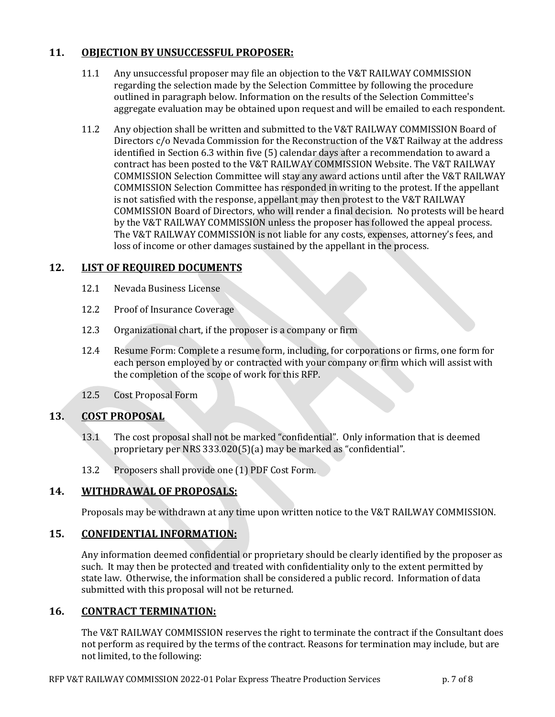## **11. OBJECTION BY UNSUCCESSFUL PROPOSER:**

- 11.1 Any unsuccessful proposer may file an objection to the V&T RAILWAY COMMISSION regarding the selection made by the Selection Committee by following the procedure outlined in paragraph below. Information on the results of the Selection Committee's aggregate evaluation may be obtained upon request and will be emailed to each respondent.
- 11.2 Any objection shall be written and submitted to the V&T RAILWAY COMMISSION Board of Directors  $c/c$  Nevada Commission for the Reconstruction of the V&T Railway at the address identified in Section 6.3 within five (5) calendar days after a recommendation to award a contract has been posted to the V&T RAILWAY COMMISSION Website. The V&T RAILWAY COMMISSION Selection Committee will stay any award actions until after the V&T RAILWAY COMMISSION Selection Committee has responded in writing to the protest. If the appellant is not satisfied with the response, appellant may then protest to the V&T RAILWAY COMMISSION Board of Directors, who will render a final decision. No protests will be heard by the V&T RAILWAY COMMISSION unless the proposer has followed the appeal process. The V&T RAILWAY COMMISSION is not liable for any costs, expenses, attorney's fees, and loss of income or other damages sustained by the appellant in the process.

### 12. LIST OF REQUIRED DOCUMENTS

- 12.1 Nevada Business License
- 12.2 Proof of Insurance Coverage
- 12.3 Organizational chart, if the proposer is a company or firm
- 12.4 Resume Form: Complete a resume form, including, for corporations or firms, one form for each person employed by or contracted with your company or firm which will assist with the completion of the scope of work for this RFP.
- 12.5 Cost Proposal Form

#### 13. **COST PROPOSAL**

- 13.1 The cost proposal shall not be marked "confidential". Only information that is deemed proprietary per NRS 333.020(5)(a) may be marked as "confidential".
- 13.2 Proposers shall provide one (1) PDF Cost Form.

## 14. **WITHDRAWAL OF PROPOSALS:**

Proposals may be withdrawn at any time upon written notice to the V&T RAILWAY COMMISSION.

#### **15. CONFIDENTIAL INFORMATION:**

Any information deemed confidential or proprietary should be clearly identified by the proposer as such. It may then be protected and treated with confidentiality only to the extent permitted by state law. Otherwise, the information shall be considered a public record. Information of data submitted with this proposal will not be returned.

#### **16. CONTRACT TERMINATION:**

The V&T RAILWAY COMMISSION reserves the right to terminate the contract if the Consultant does not perform as required by the terms of the contract. Reasons for termination may include, but are not limited, to the following: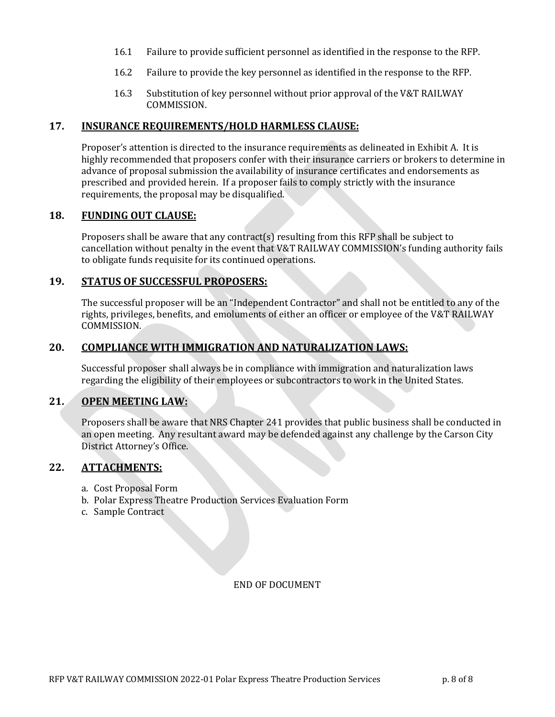- 16.1 Failure to provide sufficient personnel as identified in the response to the RFP.
- 16.2 Failure to provide the key personnel as identified in the response to the RFP.
- 16.3 Substitution of key personnel without prior approval of the V&T RAILWAY COMMISSION.

#### 17. **INSURANCE REQUIREMENTS/HOLD HARMLESS CLAUSE:**

Proposer's attention is directed to the insurance requirements as delineated in Exhibit A. It is highly recommended that proposers confer with their insurance carriers or brokers to determine in advance of proposal submission the availability of insurance certificates and endorsements as prescribed and provided herein. If a proposer fails to comply strictly with the insurance requirements, the proposal may be disqualified.

#### 18. **FUNDING OUT CLAUSE:**

Proposers shall be aware that any contract(s) resulting from this RFP shall be subject to cancellation without penalty in the event that V&T RAILWAY COMMISSION's funding authority fails to obligate funds requisite for its continued operations.

#### 19. **STATUS OF SUCCESSFUL PROPOSERS:**

The successful proposer will be an "Independent Contractor" and shall not be entitled to any of the rights, privileges, benefits, and emoluments of either an officer or employee of the V&T RAILWAY COMMISSION.

#### 20. **COMPLIANCE WITH IMMIGRATION AND NATURALIZATION LAWS:**

Successful proposer shall always be in compliance with immigration and naturalization laws regarding the eligibility of their employees or subcontractors to work in the United States.

#### 21. **OPEN MEETING LAW:**

Proposers shall be aware that NRS Chapter 241 provides that public business shall be conducted in an open meeting. Any resultant award may be defended against any challenge by the Carson City District Attorney's Office.

#### **22. ATTACHMENTS:**

- a. Cost Proposal Form
- b. Polar Express Theatre Production Services Evaluation Form
- c. Sample Contract

END OF DOCUMENT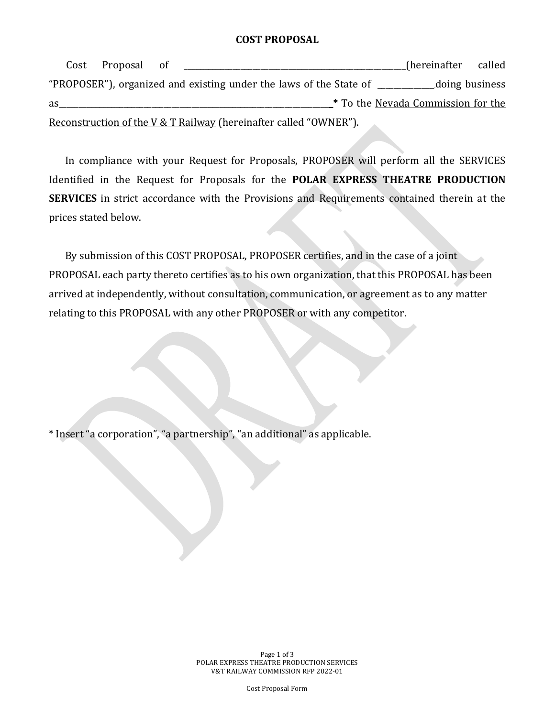#### **COST PROPOSAL**

Cost Proposal of **Exercise 2018** (hereinafter called "PROPOSER"), organized and existing under the laws of the State of \_\_\_\_\_\_\_\_\_\_\_doing business as the set of the set of the set of the set of the set of the set of the set of the set of the set of the set of the set of the set of the set of the set of the set of the set of the set of the set of the set of the set of Reconstruction of the V & T Railway (hereinafter called "OWNER").

In compliance with your Request for Proposals, PROPOSER will perform all the SERVICES Identified in the Request for Proposals for the **POLAR EXPRESS THEATRE PRODUCTION SERVICES** in strict accordance with the Provisions and Requirements contained therein at the prices stated below.

By submission of this COST PROPOSAL, PROPOSER certifies, and in the case of a joint PROPOSAL each party thereto certifies as to his own organization, that this PROPOSAL has been arrived at independently, without consultation, communication, or agreement as to any matter relating to this PROPOSAL with any other PROPOSER or with any competitor.

\* Insert "a corporation", "a partnership", "an additional" as applicable.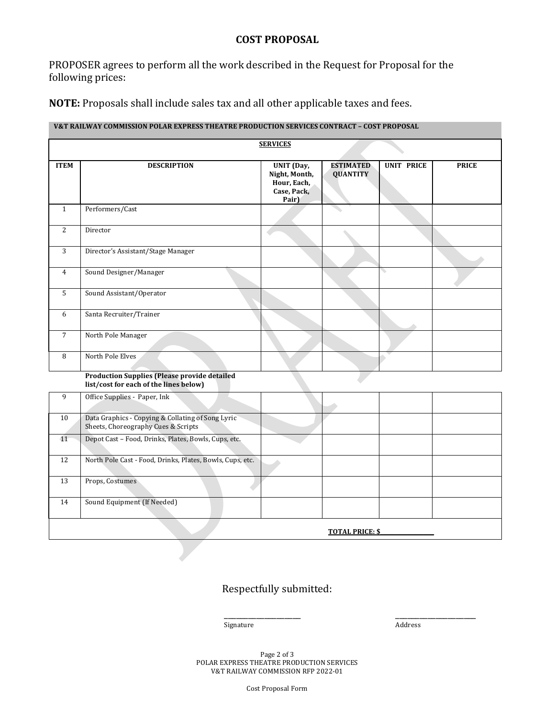### **COST PROPOSAL**

PROPOSER agrees to perform all the work described in the Request for Proposal for the following prices:

**NOTE:** Proposals shall include sales tax and all other applicable taxes and fees.

#### **V&T RAILWAY COMMISSION POLAR EXPRESS THEATRE PRODUCTION SERVICES CONTRACT - COST PROPOSAL**

|                 |                                                                                               | <b>SERVICES</b>                                                           |                                     |                   |              |
|-----------------|-----------------------------------------------------------------------------------------------|---------------------------------------------------------------------------|-------------------------------------|-------------------|--------------|
| <b>ITEM</b>     | <b>DESCRIPTION</b>                                                                            | <b>UNIT</b> (Day,<br>Night, Month,<br>Hour, Each,<br>Case, Pack,<br>Pair) | <b>ESTIMATED</b><br><b>QUANTITY</b> | <b>UNIT PRICE</b> | <b>PRICE</b> |
| $\mathbf{1}$    | Performers/Cast                                                                               |                                                                           |                                     |                   |              |
| 2               | Director                                                                                      |                                                                           |                                     |                   |              |
| 3               | Director's Assistant/Stage Manager                                                            |                                                                           |                                     |                   |              |
| 4               | Sound Designer/Manager                                                                        |                                                                           |                                     | ╰                 |              |
| 5               | Sound Assistant/Operator                                                                      |                                                                           |                                     |                   |              |
| 6               | Santa Recruiter/Trainer                                                                       |                                                                           |                                     |                   |              |
| $\overline{7}$  | North Pole Manager                                                                            |                                                                           |                                     |                   |              |
| 8               | North Pole Elves                                                                              |                                                                           |                                     |                   |              |
|                 | <b>Production Supplies (Please provide detailed</b><br>list/cost for each of the lines below) |                                                                           |                                     |                   |              |
| 9               | Office Supplies - Paper, Ink                                                                  |                                                                           |                                     |                   |              |
| 10              | Data Graphics - Copying & Collating of Song Lyric<br>Sheets, Choreography Cues & Scripts      |                                                                           |                                     |                   |              |
| $\overline{11}$ | Depot Cast - Food, Drinks, Plates, Bowls, Cups, etc.                                          |                                                                           |                                     |                   |              |
| 12              | North Pole Cast - Food, Drinks, Plates, Bowls, Cups, etc.                                     |                                                                           |                                     |                   |              |

Respectfully submitted:

\_\_\_\_\_\_\_\_\_\_\_\_\_\_\_\_\_\_\_ \_\_\_\_\_\_\_\_\_\_\_\_\_\_\_\_\_\_\_\_ Signature Address

13 Props, Costumes

14 Sound Equipment (If Needed)

**TOTAL PRICE: \$** 

Page 2 of 3 POLAR EXPRESS THEATRE PRODUCTION SERVICES V&T RAILWAY COMMISSION RFP 2022-01

Cost Proposal Form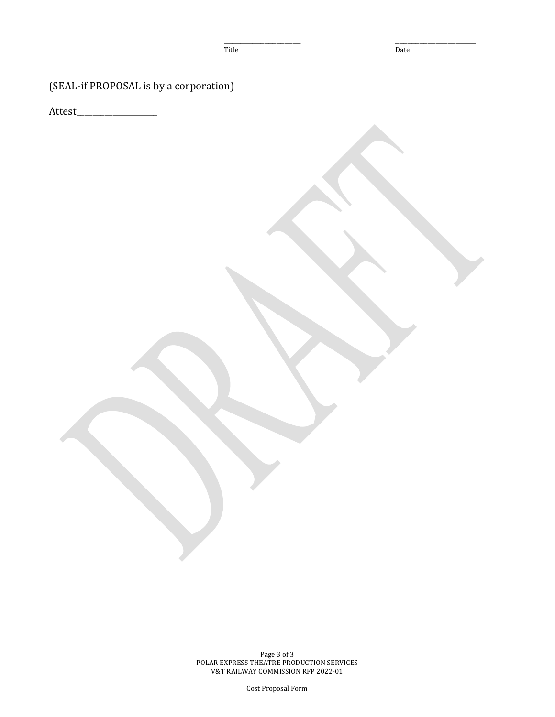Title Date

\_\_\_\_\_\_\_\_\_\_\_\_\_\_\_\_\_\_\_ \_\_\_\_\_\_\_\_\_\_\_\_\_\_\_\_\_\_\_\_

(SEAL-if PROPOSAL is by a corporation)

Attest\_\_\_\_\_\_\_\_\_\_\_\_\_\_\_\_\_\_\_\_

Page 3 of 3 POLAR EXPRESS THEATRE PRODUCTION SERVICES V&T RAILWAY COMMISSION RFP 2022-01

Cost Proposal Form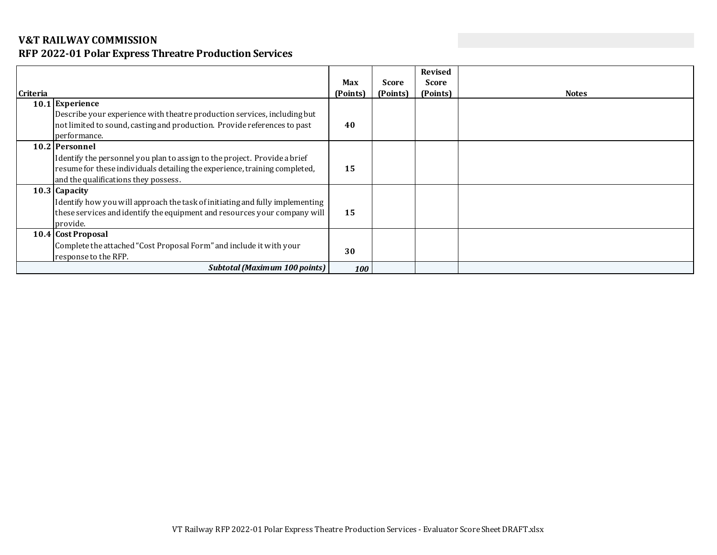## **V&T RAILWAY COMMISSION**

## **RFP 2022-01 Polar Express Threatre Production Services**

| <b>Criteria</b> |                                                                                                                                                                                                                   | Max<br>(Points) | <b>Score</b><br>(Points) | <b>Revised</b><br><b>Score</b><br>(Points) | <b>Notes</b> |
|-----------------|-------------------------------------------------------------------------------------------------------------------------------------------------------------------------------------------------------------------|-----------------|--------------------------|--------------------------------------------|--------------|
|                 | 10.1 Experience<br>Describe your experience with theatre production services, including but<br>not limited to sound, casting and production. Provide references to past<br>performance.                           | 40              |                          |                                            |              |
|                 | 10.2 Personnel<br>Identify the personnel you plan to assign to the project. Provide a brief<br>resume for these individuals detailing the experience, training completed,<br>and the qualifications they possess. | 15              |                          |                                            |              |
|                 | 10.3 Capacity<br>Identify how you will approach the task of initiating and fully implementing<br>these services and identify the equipment and resources your company will<br>provide.                            | 15              |                          |                                            |              |
|                 | 10.4 Cost Proposal<br>Complete the attached "Cost Proposal Form" and include it with your<br>response to the RFP.                                                                                                 | 30              |                          |                                            |              |
|                 | <b>Subtotal (Maximum 100 points)</b>                                                                                                                                                                              | 100             |                          |                                            |              |